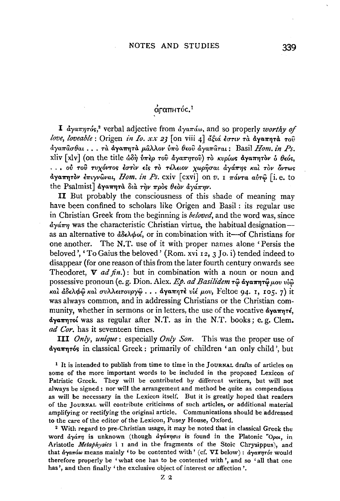## άταπητός.<sup>1</sup>

**I**  $d\gamma a \pi \eta \tau \delta s^2$  verbal adjective from  $d\gamma a \pi d\omega$ , and so properly worthy of love, loveable : Origen in Io. xx 23 [on viii 4] aξιά έστιν τα αγαπητά του  $\frac{\partial}{\partial y}a\pi a\pi a\theta a$ ι... τα αγαπητα μαλλον ύπο θεού αγαπαται: Basil Hom. in Ps. xliv [xlv] (on the title  $\omega \delta \eta$  υπέρ του αγαπητου) το κυρίως αγαπητον ο θεός, ... ού του τυχόντος έστιν είς το τέλειον χωρήσαι άγάπης και τον όντως αγαπητόν επιγνώναι, Hom. in Ps. cxiv [cxvi] on v. 1 πάντα αύτώ [i. e. to the Psalmist]  $\partial \gamma$   $\partial \eta$   $\partial \alpha$   $\partial \gamma$   $\partial \gamma$   $\partial \gamma$   $\partial \gamma$   $\partial \gamma$   $\partial \gamma$ 

II But probably the consciousness of this shade of meaning may have been confined to scholars like Origen and Basil: its regular use in Christian Greek from the beginning is *beloved*, and the word was, since  $\frac{d}{dx}$  was the characteristic Christian virtue, the habitual designationas an alternative to  $d\delta \epsilon \lambda \phi o \delta$ , or in combination with it --- of Christians for one another. The N.T. use of it with proper names alone 'Persis the beloved', 'To Gaius the beloved' (Rom. xvi 12, 3 Jo. i) tended indeed to disappear (for one reason of this from the later fourth century onwards see Theodoret,  $\nabla ad$  fin.): but in combination with a noun or noun and possessive pronoun (e.g. Dion. Alex. Ep. ad Basilidem τω άγαπητώμου νίω και άδελφω και συλλειτουργώ... άγαπητε υιέ μου, Feltoe 94. 1, 105. 7) it was always common, and in addressing Christians or the Christian community, whether in sermons or in letters, the use of the vocative dyarn re, ad Cor. has it seventeen times.

**III** *Only, unique*; especially *Only Son*. This was the proper use of <u>άγαπητός</u> in classical Greek: primarily of children 'an only child', but

<sup>1</sup> It is intended to publish from time to time in the JOURNAL drafts of articles on some of the more important words to be included in the proposed Lexicon of Patristic Greek. They will be contributed by different writers, but will not always be signed: nor will the arrangement and method be quite as compendious as will be necessary in the Lexicon itself. But it is greatly hoped that readers of the JOURNAL will contribute criticisms of such articles, or additional material amplifying or rectifying the original article. Communications should be addressed to the care of the editor of the Lexicon, Pusey House, Oxford.

<sup>2</sup> With regard to pre-Christian usage, it may be noted that in classical Greek the word  $\partial \gamma \dot{\alpha} \eta \eta$  is unknown (though  $\partial \gamma \dot{\alpha} \eta \eta \sigma \dot{\alpha}$  is found in the Platonic "Opot, in Aristotle Metaphysics i I and in the fragments of the Stoic Chrysippus), and that  $d\gamma a \pi a \omega$  means mainly 'to be contented with' (cf. VI below):  $d\gamma a \pi \eta \tau$  would therefore properly be 'what one has to be contented with', and so 'all that one has', and then finally 'the exclusive object of interest or affection'.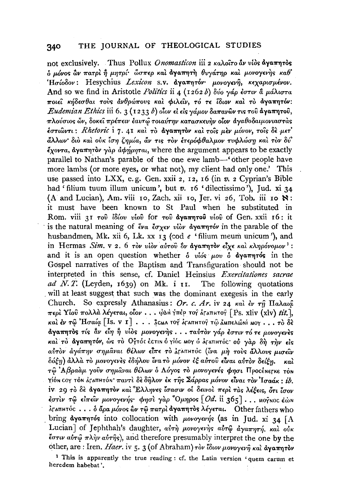not exclusively. Thus Pollux Onomasticon iii 2 καλοΐτο άν νίος άγαπητός δ μόνος ών πατρί ή μητρί ώσπερ και άγαπητή θυγάτηρ και μονογενής καθ' 'Ησίοδον: Hesychius Lexicon s.v. αγαπητόν· μονογενή, κεχαρισμένον. And so we find in Aristotle Politics ii 4 (1262 b) δύο γάρ έστιν ἃ μάλιστα ποιεί κήδεσθαι τους άνθρώπους και φιλείν, τό τε ίδιον και το άγαπητόν: Eudemian Ethics iii 6. 3 (1233 b) οίον εί είς γάμον δαπανών τις του άγαπητου, πλούσιος ὤν, δοκεί πρέπειν έαυτώ τοιαύτην κατασκευήν οίον άγαθοδαιμονιαστάς έστιώντι: Rhetoric i 7. 41 και το άγαπητον και τοίς μεν μόνον, τοίς δε μετ' άλλων διο και ούκ ίση ζημία, άν τις τον ετερόφθαλμον τυφλώση και τον δύ'  $\zeta_{\text{Vovra}}$ , άγαπητον γλο αφήρηται, where the argument appears to be exactly parallel to Nathan's parable of the one ewe lamb—'other people have more lambs (or more eves, or what not), my client had only one.' This use passed into LXX, e.g. Gen. xxii 2, 12, 16 (in v. 2 Cyprian's Bible had 'filium tuum illum unicum', but v. 16 'dilectissimo'), Jud. xi 34 (A and Lucian), Am. viii 10, Zach. xii 10, Jer. vi 26, Tob. iii 10 N: it must have been known to St Paul when he substituted in Rom. viii 31 του ίδίου υίου for του αγαπητού υίου of Gen. xxii 16: it is the natural meaning of  $\epsilon v \alpha \cdot \epsilon \sigma x \epsilon v$  viov  $\alpha y \alpha \pi \eta \tau \delta v$  in the parable of the husbandmen, Mk. xii 6, Lk. xx 13 (cod e 'filium meum unicum'). and in Hermas Sim. v 2. 6 τον υίον αύτου δν άγαπητον είχε και κληρόνομον<sup>1</sup>: and it is an open question whether  $\delta$  vios  $\mu_{0}$   $\delta$  dyarm of in the Gospel narratives of the Baptism and Transfiguration should not be interpreted in this sense, cf. Daniel Heinsius Exercitationes sacrae ad N.T. (Leyden, 1639) on Mk. i II. The following quotations will at least suggest that such was the dominant exegesis in the early Church. So expressly Athanasius: Or. c. Ar. iv 24 kai év rñ Haλaia περί Υίου πολλά λέγεται, οΐον . . . ώλι γπέρ το άταπιτος [Ps. xliv (xlv) tit.], και έν τω Ήσαία [Is. v 1] . . . 3 cma τον άταπητον τω διαπελώνι Moy . . . το δε άγαπητός τίς αν είη ή υίος μονογενής... ταύτον γάρ έστιν τό τε μονογενές και το αγαπητόν, ώς το Ογτός έςτιν όγιος Μογ ο αγαπητός ού γάρ δή την είς αύτον αγάπην σημάναι θέλων είπε το λταπητός (ίνα μή τους άλλους μισείν δόξη) άλλα το μονογενες εδήλου ίνα το μόνον εξ αύτου είναι αύτον δείξη. καὶ τω Αβραάμ γούν σημάναι θέλων ο Λόγος το μονογενές φησι Προςέρετκε του γίον τον τον άταπητόν παντί δε δήλον έκ της Σάρρας μόνον είναι τον Ίσαάκ; ib. iv 29 το δε άγαπητον και Έλληνες ίσασιν οι δεινοι περι τας λέξεις, ότι ίσον έστιν τω είπειν μονογενής φησι γάρ Όμηρος  $[Od.$  ii 365]... ΜΟΥΝΟΣ έώΝ  $\lambda$ ΓαπΗτύς ... δ άρα μόνος ὢν τῷ πατρὶ άγαπητὸς λέγεται. Other fathers who bring dyamnros into collocation with  $\mu$ ovoyevýs (as in Jud. xi 34 [A] Lucian] of Jephthah's daughter, αύτη μονογενής αύτω άγαπητή, και ούκ έστιν αύτω πλήν αύτης), and therefore presumably interpret the one by the other, are: Iren, Haer. iv 5. 3 (of Abraham) τον ίδιον μονογενή και άγαπητον

<sup>1</sup> This is apparently the true reading: cf. the Latin version 'quem carum et heredem habebat'.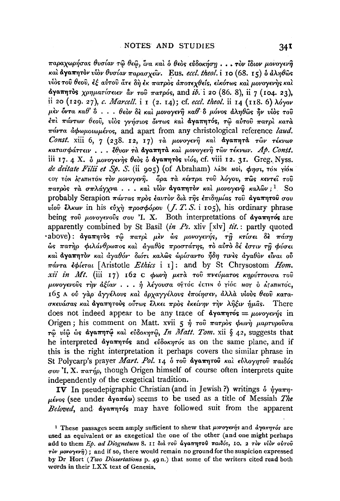παραχωρήσας θυσίαν τω θεω, ίνα και ο θεος εύδοκήση... τον ίδιον μονογενή και άγαπητον υίον θυσίαν παρασχείν. Eus. eccl. theol. i 10 (68. 15) ο άληθως υίος του θεου, έξ αύτου άτε δη έκ πατρος αποτεχθείς, εικότως και μονογενής και άγαπητός χρηματίσειεν αν του πατρός, and ib. i 20 (86. 8), ii 7 (104. 23), ii 20 (129. 27), c. Marcell. i 1 (2. 14); cf. eccl. theol. ii 14 (118. 6)  $\lambda$ óyov μεν όντα καθ'  $\delta$ ... θεον δε και μονογενή καθ' δ μόνος άληθως ήν υίος του έπι πάντων θεού, υίος γνήσιος όντως και άγαπητός, τω αύτου πατρι κατά  $\pi\acute{a}\nu\tau\alpha$  *άφωμοιωμένος*, and apart from any christological reference *laud*. Const. xiii 6, 7 (238. 12, 17) τα μονογενή και άγαπητά των τέκνων κατασφάττειν... έθυον τα άγαπητα και μονογενή των τέκνων. Αρ. Const. iii 17. 4 X. δ μονογενής θεός δ άγαπητός νίός, cf. viii 12. 31. Greg. Nyss. de deitate Filii et Sp. S. (ii 905) (of Abraham)  $\lambda$ áBe Moi,  $\phi_{\text{NOT}}$ , Tôn Yión COY ΤΟΝ ΑΓΑΠΗΤΟΝ ΤΟν μονογενή. Θρα τα κέντρα του λόγου, πώς κεντεί του πατρός τα σπλάγχνα... και υίον άγαπητόν και μονογενή καλών;<sup>1</sup> So probably Serapion πάντας πρός έαυτον διά της επιδημίας του αγαπητού σου υίου έλκων in his εύχη προσφόρου (*J. T. S.* i 105), his ordinary phrase being του μονογενούς σου 'I. X. Both interpretations of αγαπητός are apparently combined by St Basil (in Ps. xliv [xlv] tit.: partly quoted ·above): άγαπητός τω πατρί μέν ώς μονογενής, τη κτίσει δε πάση ώς πατήρ φιλάνθρωπος και αγαθός προστάτης, το αυτό δέ έστιν τη φύσει και άγαπητον και άγαθόν· διότι καλώς ωρίσαντο ήδη τινες άγαθον είναι ού  $\pi\acute{a}v\tau\acute{a}$  *edieral* [Aristotle *Ethics* i I]: and by St Chrysostom *Hom*. xii in Mt. (iii 17) 162 C φωνή μετά του πνεύματος κηρύττουσα του μονογενούς την αξίαν... ή λέγουσα ογτός έςτιν ό γίος ΜΟΥ ο ΑΓΑΠΗΤΟς. 165 Α ού γάρ άγγέλους και άργαγγέλους εποίησεν, άλλα υίους θεού κατασκευάσας και άγαπητούς ούτως έλκει προς εκείνην την λήξιν ήμας. There does not indeed appear to be any trace of  $\partial y \circ \pi \eta$   $\tau \circ \sigma = \mu \circ \nu \circ \gamma \circ \nu \eta$  in Origen; his comment on Matt. xvii 5  $\hat{\eta}$  rov  $\pi a \tau \rho \delta s$   $\phi \omega r \hat{\eta}$   $\mu a \rho \tau \nu \rho \sigma \hat{v} \sigma a$ τω νίω ως άγαπητώ και εύδοκητώ, In Matt. Tom. xii δ 42, suggests that he interpreted αγαπητός and εύδοκητός as on the same plane, and if this is the right interpretation it perhaps covers the similar phrase in St Polycarp's prayer Mart. Pol. 14 ο του αγαπητού και εύλογητου παιδός  $\sigma$ <sub>0</sub> I.X.  $\pi$ <sub>a</sub> $\tau$ <sup>h</sup><sub>10</sub>, though Origen himself of course often interprets quite independently of the exegetical tradition.

IV In pseudepigraphic Christian (and in Jewish ?) writings  $\delta \eta \gamma \alpha \pi \eta$ μένος (see under άγαπάω) seems to be used as a title of Messiah The Beloved, and dyamn-os may have followed suit from the apparent

<sup>&</sup>lt;sup>1</sup> These passages seem amply sufficient to shew that  $\mu$ ovo $\gamma$ ev $\eta$ s and  $d\gamma$ an $\eta\tau$ os are used as equivalent or as exegetical the one of the other (and one might perhaps add to them Ep. ad Diognetum 8. 11 διά του άγαπητού παιδός, 10. 2 τον υίδν αύτου  $\vec{r}$   $\partial v$   $\mu$ ovo $\gamma$  $\epsilon \nu \hat{\eta}$ ); and if so, there would remain no ground for the suspicion expressed by Dr Hort (Two Dissertations p. 49 n.) that some of the writers cited read both words in their LXX text of Genesis.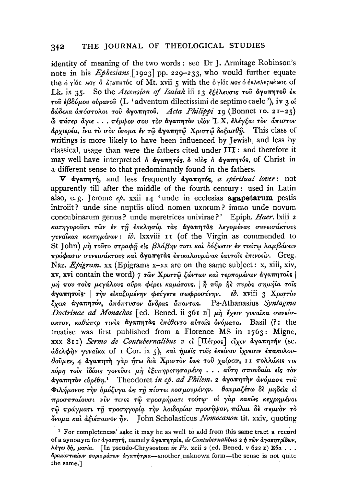identity of meaning of the two words: see Dr J. Armitage Robinson's note in his *Ephesians* [1903] pp. 229-233, who would further equate the ό γίος Moy ο αταπητός of Mt. xvii 5 with the ό γίος Moy ο εκλελετμένος of Lk. ix 35. So the Ascension of Isaiah iii 13 εξέλευσις του άγαπητού έκ τού έβδόμου ούρανού (L 'adventum dilectissimi de septimo caelo'), iv 3 οί δώδεκα άπόστολοι του άγαπητου. Acta Philippi 19 (Bonnet 10. 21-25) .<br>ὦ πάτερ ἄγιε . . . πέμψον σου τον άγαπητον υίον 'I. X. ελέγξαι τον άπιστον άρχιερέα, ίνα τὸ σὸν όνομα έν τῶ αγαπητῶ Χριστῶ δοξασθή. This class of writings is more likely to have been influenced by Jewish, and less by classical, usage than were the fathers cited under III : and therefore it may well have interpreted δ άγαπητός, δ υίος δ άγαπητός, of Christ in a different sense to that predominantly found in the fathers.

V αγαπητή, and less frequently αγαπητός, a spiritual lover: not apparently till after the middle of the fourth century: used in Latin also, e.g. Jerome  $ep$ . xxii 14 'unde in ecclesias agapetarum pestis introiit? unde sine nuptiis aliud nomen uxorum? immo unde novum concubinarum genus? unde meretrices univirae?' Epiph. Haer. lxiii 2 κατηγορούσι των έν τη έκκλησία τας άγαπητάς λεγομένας συνεισάκτους γυναΐκας κεκτημένων: ib. Ixxviii 11 (of the Virgin as commended to St John) μη τούτο στραφή είς βλάβην τισι και δόξωσιν εν τούτω λαμβάνειν πρόφασιν συνεισάκτους και αγαπητάς επικαλουμένας εαυτοίς επινοείν. Greg. Naz. Epigram. xx (Epigrams x-xx are on the same subject: x, xiii, xiv, xv, xvi contain the word) 7 των Χριστώ ζώντων και τερπομένων άγαπηταις μή που τούς μεγάλους αύρα φέρει καμάτους. | ή πύρ ή πυρός σημήϊα τούς άγαπητοίς· | την εικαζομένην φεύγετε σωφροσύνην. ib. xviii 3 Χριστον έχεις άγαπητόν, απόπτυσον άνδρας απαντας. Ps-Athanasius Syntagma Doctrinae ad Monachos [ed. Bened. ii 361 B]  $\mu$  $\eta$  έχειν γυναίκα συνείσακτον, καθάπερ τινές άγαπητάς έπέθεντο αύταΐς όνόματα. Basil (?: the treatise was first published from a Florence MS in  $1763$ : Migne, XXX 811) Sermo de Contubernalibus 2 εί [Πέτρος] είχεν άγαπητήν (sc. άδελφήν γυναίκα of I Cor. ix 5), και ήμεις τοις εκείνου ίχνεσιν επακολουθούμεν, 4 άγαπητή γαρ ήτω δια Χριστον έως του χαίρειν, 11 πολλάκις τις κόρη τοίς ίδίοις γονεύσι μη εξυπηρετησαμένη... αύτη σπουδαία είς τον άγαπητον εύρέθη.<sup>1</sup> Theodoret in ep. ad Philem. 2 άγαπητην ώνόμασε του Φιλήμονος την δμόζυγα ώς τη πίστει κοσμουμένην. θαυμαζέτω δε μηδείς εί προσπταίουσι νύν τινες τω προσρήματι τούτω· οί γάρ κακώς κεχρημένοι .<br>τῷ πράγματι τῆ προσηγορία τὴν λοιδορίαν προσῆψαν, πάλαι δὲ σεμνὸν τὸ  $\phi$ νομα και αξιέπαινον ήν. John Scholasticus *Nomocanon* tit. xxiv, quoting

<sup>&</sup>lt;sup>1</sup> For completeness' sake it may be as well to add from this same tract a record of a synonym for άγαπητή, namely άγαπητρίς, de Contubernalibus 2 ή των άγαπητρίδων, λέγω δή, μανία. [In pseudo-Chrysostom in Ps, xcii 2 (ed. Bened, v 622 E) Εύα... δρακοντιαίων συρισμάτων αγαπήτρια-another unknown form-the sense is not quite the same.]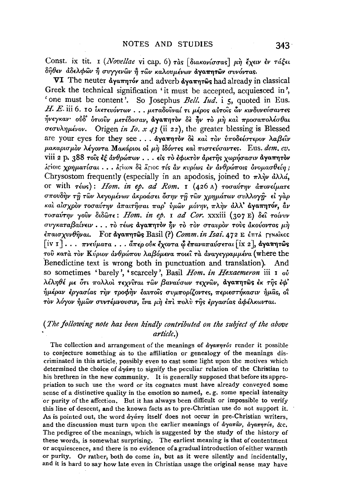Const. ix tit. 1 (Novellae vi cap. 6) τας [διακονίσσας] μη έχειν έν τάξει δήθεν άδελφών ή συγγενών ή τών καλουμένων άγαπητών συνόντας.

VI The neuter αγαπητόν and adverb αγαπητώς had already in classical Greek the technical signification 'it must be accepted, acquiesced in', 'one must be content'. So Josephus Bell. Iud. i 5, quoted in Eus.  $H. E.$ iii 6. 10 ικετευόντων... μεταδούναί τι μέρος αύτοις ών κινδυνεύσαντες ήνεγκαν ούδ ότιούν μετέδοσαν, άγαπητον δε ήν το μη και προσαπολέσθαι σεσυλημένον. Origen in Io. x 43 (ii 22), the greater blessing is Blessed are your eves for they see ...  $\frac{1}{2}a\sqrt{a\pi n\pi}\partial v$   $\frac{1}{2}b\pi$   $\frac{1}{2}a\pi$   $\frac{1}{2}a\pi$   $\frac{1}{2}a\pi$ μακαρισμόν λέγοντα Μακάριοι οί μή ιδόντες και πιστεύσαντες. Eus. dem. ev. viii 2 p. 388 τους εξ άνθρώπων . . . είς το εφικτον άρετης χωρήσασιν άγαπητον λτίοις χρηματίσαι... λτίων δε λτιος τίς αν κυρίως εν ανθρώποις ονομασθείη; Chrysostom frequently (especially in an apodosis, joined to  $\pi \lambda \dot{\eta} \nu$   $d\lambda \lambda d$ , or with τέως): Hom. in ep. ad Rom. I (426 A) τοσαύτην άπονείματε σπουδήν τη των λεγομένων άκροάσει όσην τη των χρημάτων συλλογη· εί γαρ και αίσχρον τοσαύτην απαιτήσαι παρ' ύμων μόνην, πλην άλλ' αγαπητόν, άν τοσαύτην γούν διδώτε: Hom. in ep. 1 ad Cor. xxxiii (307 E) δεί τοίνυν συγκαταβαίνειν... το τέως άγαπητον ήν το τον σταυρον τους άκούοντας μη επαισχυνθήναι. For αγαπητώς Basil (?) Comm. in Isai. 472 E έπτλ Γγναΐκες  $\lceil$ iv 1]... πνεύματα... άπερ ούκ έχοντα φ επαναπαύσεται  $\lceil$ ix 2], άγαπητως τού κατά τον Κύριον άνθρώπου λαβόμενα ποιεί τα άναγεγραμμένα (where the Benedictine text is wrong both in punctuation and translation). And so sometimes 'barely', 'scarcely', Basil Hom. in Hexaemeron iii 1 ov λέληθέ με ότι πολλοί τεχνίται των βαναύσων τεχνών, άγαπητώς έκ της έφ' ήμέραν εργασίας την τροφην εαυτοΐς συμπορίζοντες, περιεστήκασιν ήμας, οΐ τον λόγον ήμων συντέμνουσιν, ίνα μή έπι πολύ της εργασίας αφέλκωνται.

## (The following note has been kindly contributed on the subject of the above article.)

The collection and arrangement of the meanings of  $d\gamma a \pi \eta \tau \delta s$  render it possible to conjecture something as to the affiliation or genealogy of the meanings discriminated in this article, possibly even to cast some light upon the motives which determined the choice of  $\partial y \partial \bar{\partial} \eta$  to signify the peculiar relation of the Christian to his brethren in the new community. It is generally supposed that before its appropriation to such use the word or its cognates must have already conveyed some sense of a distinctive quality in the emotion so named, e.g. some special intensity or purity of the affection. But it has always been difficult or impossible to verify this line of descent, and the known facts as to pre-Christian use do not support it. As is pointed out, the word  $d\gamma d\pi\eta$  itself does not occur in pre-Christian writers, and the discussion must turn upon the earlier meanings of  $d\gamma a\pi a\hat{\nu}$ ,  $d\gamma a\pi\eta\tau\omega s$ , &c. The pedigree of the meanings, which is suggested by the study of the history of these words, is somewhat surprising. The earliest meaning is that of contentment or acquiescence, and there is no evidence of a gradual introduction of either warmth or purity. Or rather, both do come in, but as it were silently and incidentally, and it is hard to say how late even in Christian usage the original sense may have